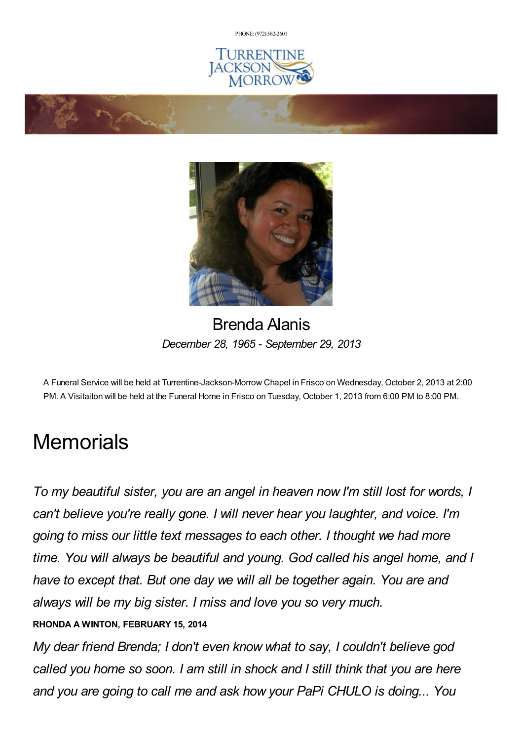PHONE: (972) [562-2601](tel:(972) 562-2601)







## Brenda Alanis *December 28, 1965 - September 29, 2013*

A Funeral Service will be held at Turrentine-Jackson-Morrow Chapel in Frisco on Wednesday, October 2, 2013 at 2:00 PM. A Visitaiton will be held at the Funeral Home in Frisco on Tuesday, October 1, 2013 from 6:00 PM to 8:00 PM.

## **Memorials**

*To my beautiful sister, you are an angel in heaven now I'm still lost for words, I can't believe you're really gone. I will never hear you laughter, and voice. I'm going to miss our little text messages to each other. I thought we had more time. You will always be beautiful and young. God called his angel home, and I have to except that. But one day we will all be together again. You are and always will be my big sister. I miss and love you so very much.* **RHONDA A WINTON, FEBRUARY 15, 2014**

*My dear friend Brenda; I don't even know what to say, I couldn't believe god called you home so soon. I am still in shock and I still think that you are here and you are going to call me and ask how your PaPi CHULO is doing... You*